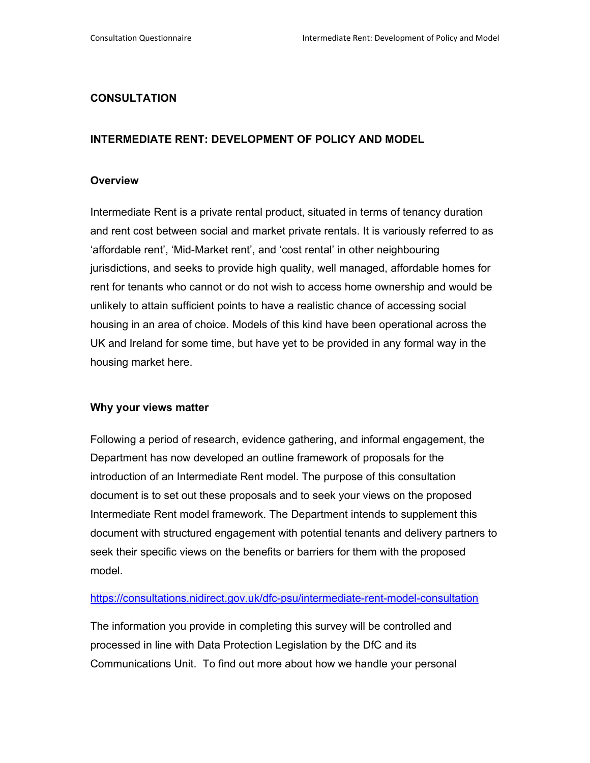## **CONSULTATION**

# **INTERMEDIATE RENT: DEVELOPMENT OF POLICY AND MODEL**

## **Overview**

Intermediate Rent is a private rental product, situated in terms of tenancy duration and rent cost between social and market private rentals. It is variously referred to as 'affordable rent', 'Mid-Market rent', and 'cost rental' in other neighbouring jurisdictions, and seeks to provide high quality, well managed, affordable homes for rent for tenants who cannot or do not wish to access home ownership and would be unlikely to attain sufficient points to have a realistic chance of accessing social housing in an area of choice. Models of this kind have been operational across the UK and Ireland for some time, but have yet to be provided in any formal way in the housing market here.

## **Why your views matter**

Following a period of research, evidence gathering, and informal engagement, the Department has now developed an outline framework of proposals for the introduction of an Intermediate Rent model. The purpose of this consultation document is to set out these proposals and to seek your views on the proposed Intermediate Rent model framework. The Department intends to supplement this document with structured engagement with potential tenants and delivery partners to seek their specific views on the benefits or barriers for them with the proposed model.

## https://consultations.nidirect.gov.uk/dfc-psu/intermediate-rent-model-consultation

The information you provide in completing this survey will be controlled and processed in line with Data Protection Legislation by the DfC and its Communications Unit. To find out more about how we handle your personal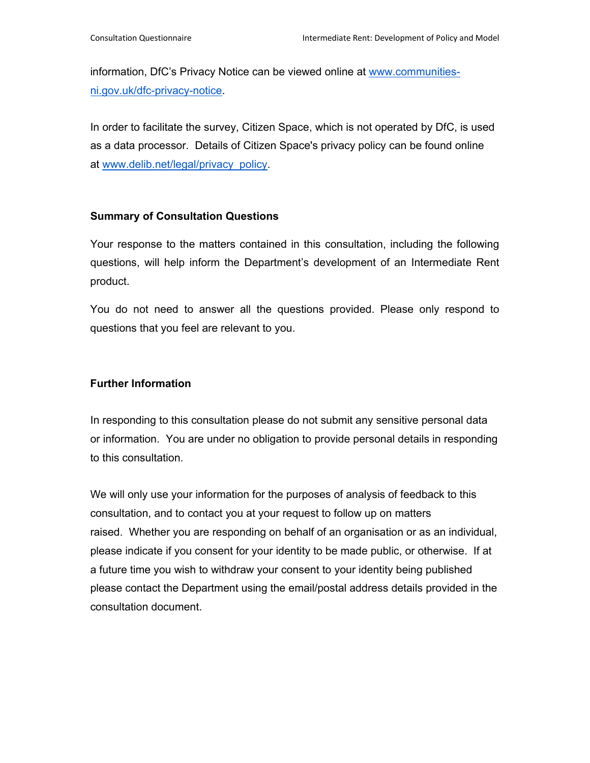information, DfC's Privacy Notice can be viewed online at www.communitiesni.gov.uk/dfc-privacy-notice.

In order to facilitate the survey, Citizen Space, which is not operated by DfC, is used as a data processor. Details of Citizen Space's privacy policy can be found online at www.delib.net/legal/privacy\_policy.

## **Summary of Consultation Questions**

Your response to the matters contained in this consultation, including the following questions, will help inform the Department's development of an Intermediate Rent product.

You do not need to answer all the questions provided. Please only respond to questions that you feel are relevant to you.

# **Further Information**

In responding to this consultation please do not submit any sensitive personal data or information. You are under no obligation to provide personal details in responding to this consultation.

We will only use your information for the purposes of analysis of feedback to this consultation, and to contact you at your request to follow up on matters raised. Whether you are responding on behalf of an organisation or as an individual, please indicate if you consent for your identity to be made public, or otherwise. If at a future time you wish to withdraw your consent to your identity being published please contact the Department using the email/postal address details provided in the consultation document.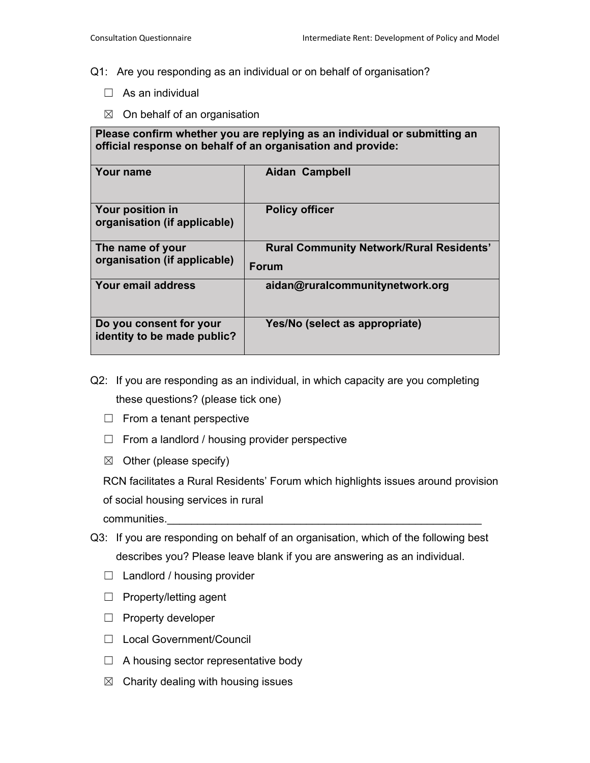## Q1: Are you responding as an individual or on behalf of organisation?

- $\Box$  As an individual
- $\boxtimes$  On behalf of an organisation

**Please confirm whether you are replying as an individual or submitting an official response on behalf of an organisation and provide:** 

| ∣ Your name                                             | <b>Aidan Campbell</b>                                           |  |
|---------------------------------------------------------|-----------------------------------------------------------------|--|
| <b>Your position in</b><br>organisation (if applicable) | <b>Policy officer</b>                                           |  |
| The name of your<br>organisation (if applicable)        | <b>Rural Community Network/Rural Residents'</b><br><b>Forum</b> |  |
| Your email address                                      | aidan@ruralcommunitynetwork.org                                 |  |
| Do you consent for your<br>identity to be made public?  | Yes/No (select as appropriate)                                  |  |

- Q2: If you are responding as an individual, in which capacity are you completing these questions? (please tick one)
	- $\Box$  From a tenant perspective
	- $\Box$  From a landlord / housing provider perspective
	- $\boxtimes$  Other (please specify)

RCN facilitates a Rural Residents' Forum which highlights issues around provision of social housing services in rural communities.

- Q3: If you are responding on behalf of an organisation, which of the following best describes you? Please leave blank if you are answering as an individual.
	- ☐ Landlord / housing provider
	- ☐ Property/letting agent
	- ☐ Property developer
	- ☐ Local Government/Council
	- $\Box$  A housing sector representative body
	- $\boxtimes$  Charity dealing with housing issues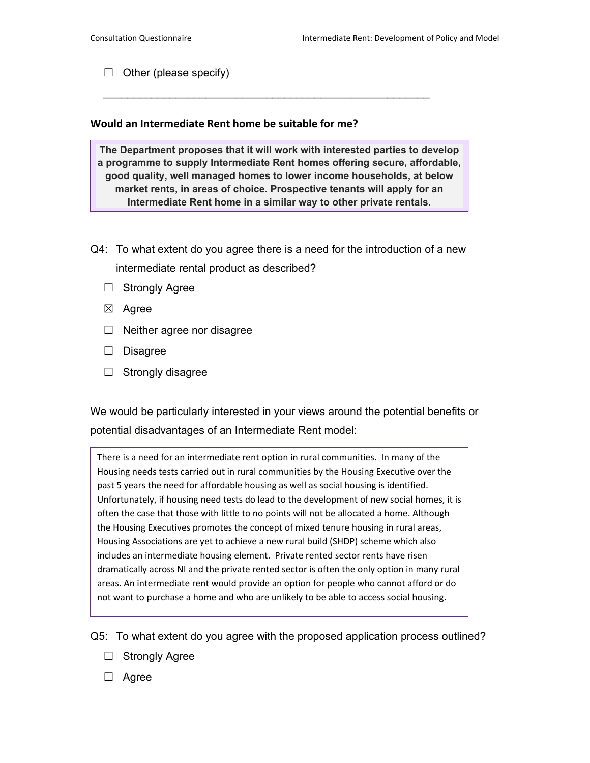$\Box$  Other (please specify)

## **Would an Intermediate Rent home be suitable for me?**

**The Department proposes that it will work with interested parties to develop a programme to supply Intermediate Rent homes offering secure, affordable, good quality, well managed homes to lower income households, at below market rents, in areas of choice. Prospective tenants will apply for an Intermediate Rent home in a similar way to other private rentals.** 

 $\overline{\phantom{a}}$  , and the contribution of the contribution of the contribution of the contribution of the contribution of the contribution of the contribution of the contribution of the contribution of the contribution of the

- Q4: To what extent do you agree there is a need for the introduction of a new intermediate rental product as described?
	- □ Strongly Agree
	- ☒ Agree
	- $\Box$  Neither agree nor disagree
	- ☐ Disagree
	- $\Box$  Strongly disagree

We would be particularly interested in your views around the potential benefits or potential disadvantages of an Intermediate Rent model:

There is a need for an intermediate rent option in rural communities. In many of the Housing needs tests carried out in rural communities by the Housing Executive over the past 5 years the need for affordable housing as well as social housing is identified. Unfortunately, if housing need tests do lead to the development of new social homes, it is often the case that those with little to no points will not be allocated a home. Although the Housing Executives promotes the concept of mixed tenure housing in rural areas, Housing Associations are yet to achieve a new rural build (SHDP) scheme which also includes an intermediate housing element. Private rented sector rents have risen dramatically across NI and the private rented sector is often the only option in many rural areas. An intermediate rent would provide an option for people who cannot afford or do not want to purchase a home and who are unlikely to be able to access social housing.

Q5: To what extent do you agree with the proposed application process outlined?

- □ Strongly Agree
- ☐ Agree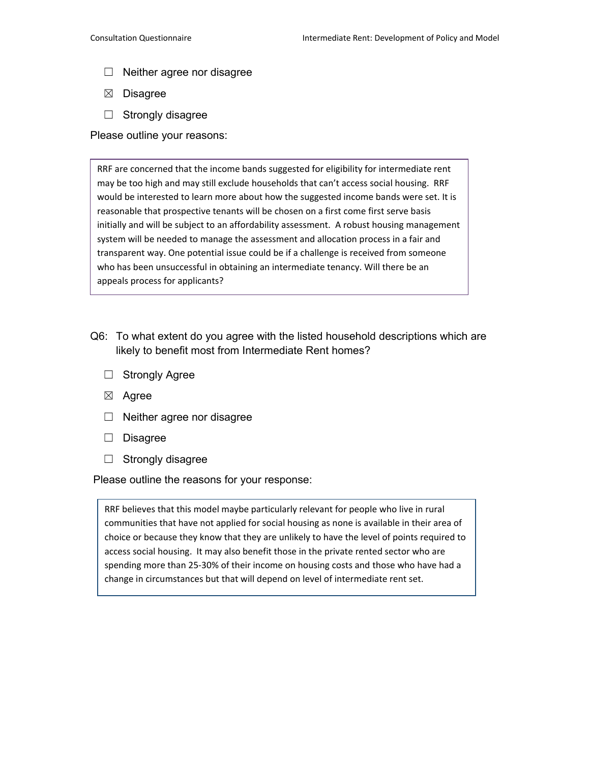- $\Box$  Neither agree nor disagree
- ☒ Disagree
- ☐ Strongly disagree

Please outline your reasons:

RRF are concerned that the income bands suggested for eligibility for intermediate rent may be too high and may still exclude households that can't access social housing. RRF would be interested to learn more about how the suggested income bands were set. It is reasonable that prospective tenants will be chosen on a first come first serve basis initially and will be subject to an affordability assessment. A robust housing management system will be needed to manage the assessment and allocation process in a fair and transparent way. One potential issue could be if a challenge is received from someone who has been unsuccessful in obtaining an intermediate tenancy. Will there be an appeals process for applicants?

- Q6: To what extent do you agree with the listed household descriptions which are likely to benefit most from Intermediate Rent homes?
	- ☐ Strongly Agree
	- ☒ Agree
	- $\Box$  Neither agree nor disagree
	- ☐ Disagree
	- ☐ Strongly disagree

Please outline the reasons for your response:

RRF believes that this model maybe particularly relevant for people who live in rural communities that have not applied for social housing as none is available in their area of choice or because they know that they are unlikely to have the level of points required to access social housing. It may also benefit those in the private rented sector who are spending more than 25-30% of their income on housing costs and those who have had a change in circumstances but that will depend on level of intermediate rent set.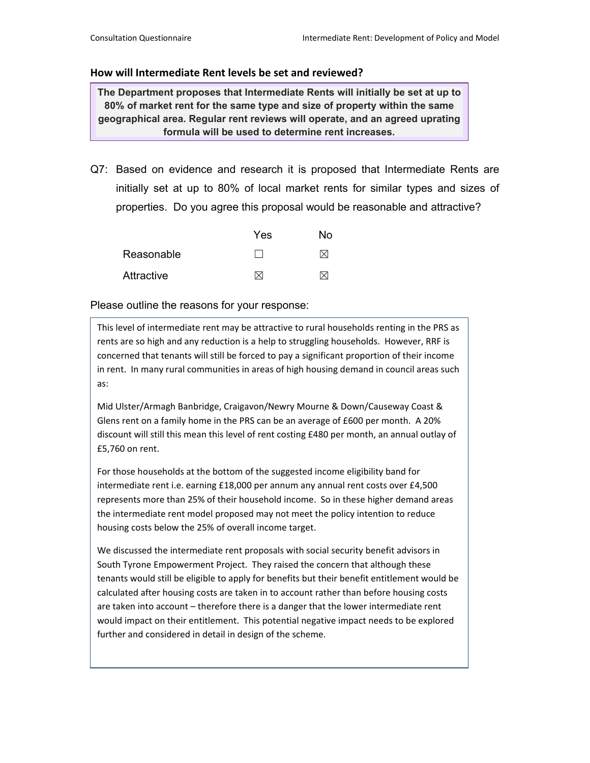## **How will Intermediate Rent levels be set and reviewed?**

**The Department proposes that Intermediate Rents will initially be set at up to 80% of market rent for the same type and size of property within the same geographical area. Regular rent reviews will operate, and an agreed uprating formula will be used to determine rent increases.**

Q7: Based on evidence and research it is proposed that Intermediate Rents are initially set at up to 80% of local market rents for similar types and sizes of properties. Do you agree this proposal would be reasonable and attractive?

|            | Yes | No |
|------------|-----|----|
| Reasonable |     | IX |
| Attractive | M   | IY |

Please outline the reasons for your response:

This level of intermediate rent may be attractive to rural households renting in the PRS as rents are so high and any reduction is a help to struggling households. However, RRF is concerned that tenants will still be forced to pay a significant proportion of their income in rent. In many rural communities in areas of high housing demand in council areas such as:

Mid Ulster/Armagh Banbridge, Craigavon/Newry Mourne & Down/Causeway Coast & Glens rent on a family home in the PRS can be an average of £600 per month. A 20% discount will still this mean this level of rent costing £480 per month, an annual outlay of £5,760 on rent.

For those households at the bottom of the suggested income eligibility band for intermediate rent i.e. earning £18,000 per annum any annual rent costs over £4,500 represents more than 25% of their household income. So in these higher demand areas the intermediate rent model proposed may not meet the policy intention to reduce housing costs below the 25% of overall income target.

We discussed the intermediate rent proposals with social security benefit advisors in South Tyrone Empowerment Project. They raised the concern that although these tenants would still be eligible to apply for benefits but their benefit entitlement would be calculated after housing costs are taken in to account rather than before housing costs are taken into account – therefore there is a danger that the lower intermediate rent would impact on their entitlement. This potential negative impact needs to be explored further and considered in detail in design of the scheme.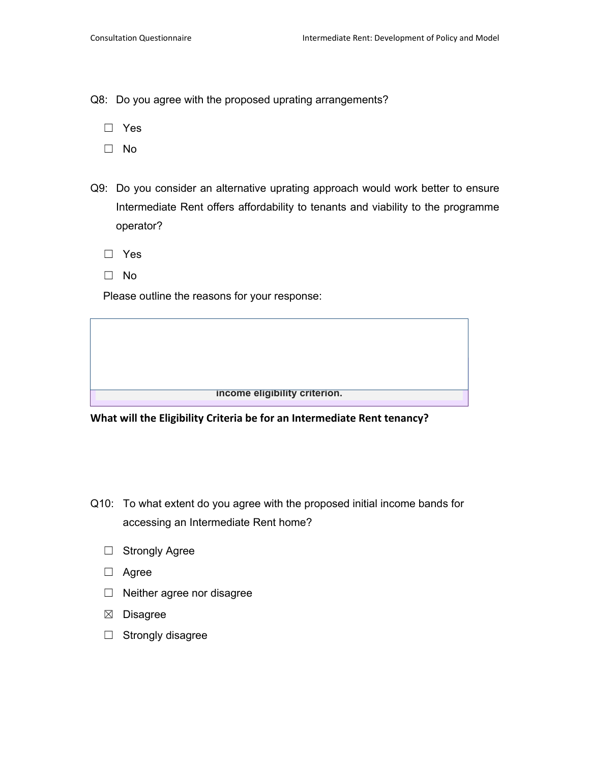Q8: Do you agree with the proposed uprating arrangements?

- ☐ Yes
- ☐ No
- Q9: Do you consider an alternative uprating approach would work better to ensure Intermediate Rent offers affordability to tenants and viability to the programme operator?
	- ☐ Yes
	- ☐ No

Please outline the reasons for your response:

**income eligibility criterion.** 

**What will the Eligibility Criteria be for an Intermediate Rent tenancy?**

- Q10: To what extent do you agree with the proposed initial income bands for accessing an Intermediate Rent home?
	- ☐ Strongly Agree
	- ☐ Agree
	- ☐ Neither agree nor disagree
	- ☒ Disagree
	- ☐ Strongly disagree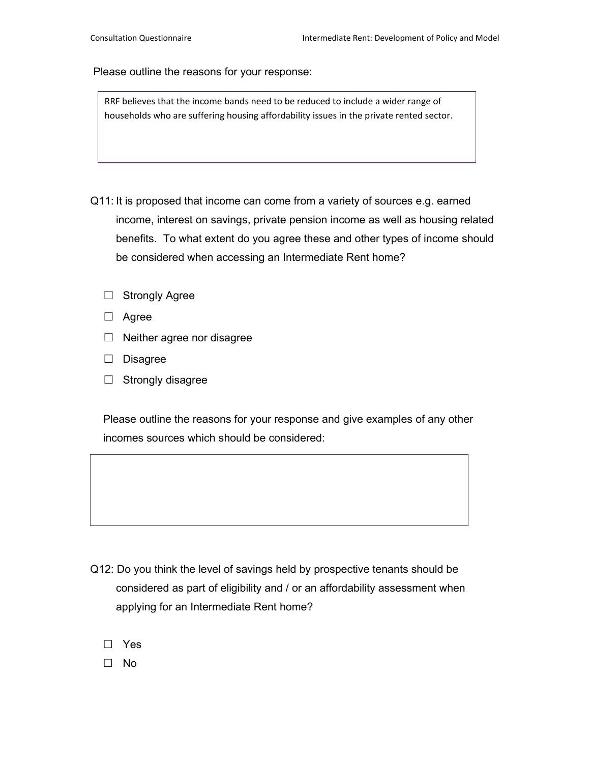RRF believes that the income bands need to be reduced to include a wider range of households who are suffering housing affordability issues in the private rented sector.

- Q11: It is proposed that income can come from a variety of sources e.g. earned income, interest on savings, private pension income as well as housing related benefits. To what extent do you agree these and other types of income should be considered when accessing an Intermediate Rent home?
	- ☐ Strongly Agree
	- ☐ Agree
	- $\Box$  Neither agree nor disagree
	- ☐ Disagree
	- ☐ Strongly disagree

Please outline the reasons for your response and give examples of any other incomes sources which should be considered:

- Q12: Do you think the level of savings held by prospective tenants should be considered as part of eligibility and / or an affordability assessment when applying for an Intermediate Rent home?
	- □ Yes
	- □ No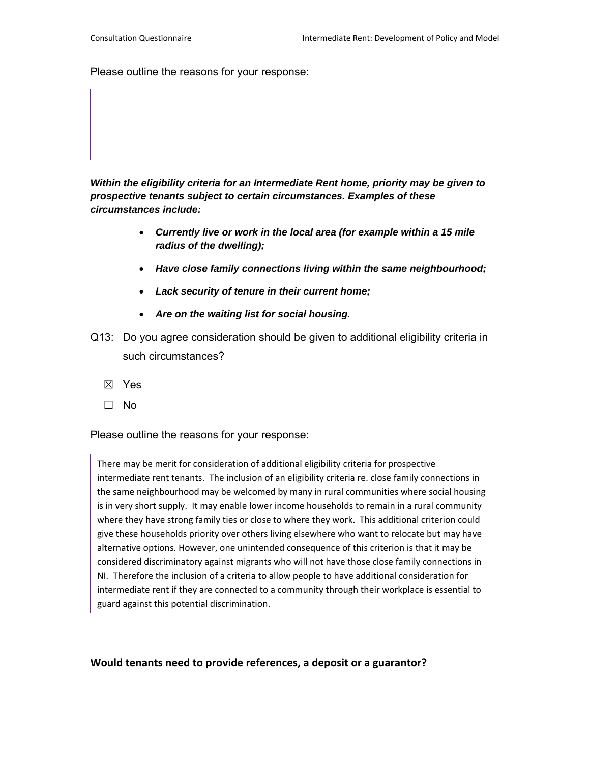*Within the eligibility criteria for an Intermediate Rent home, priority may be given to prospective tenants subject to certain circumstances. Examples of these circumstances include:* 

- *Currently live or work in the local area (for example within a 15 mile radius of the dwelling);*
- *Have close family connections living within the same neighbourhood;*
- *Lack security of tenure in their current home;*
- *Are on the waiting list for social housing.*
- Q13: Do you agree consideration should be given to additional eligibility criteria in such circumstances?
	- ☒ Yes
	- ☐ No

Please outline the reasons for your response:

There may be merit for consideration of additional eligibility criteria for prospective intermediate rent tenants. The inclusion of an eligibility criteria re. close family connections in the same neighbourhood may be welcomed by many in rural communities where social housing is in very short supply. It may enable lower income households to remain in a rural community where they have strong family ties or close to where they work. This additional criterion could give these households priority over others living elsewhere who want to relocate but may have alternative options. However, one unintended consequence of this criterion is that it may be considered discriminatory against migrants who will not have those close family connections in NI. Therefore the inclusion of a criteria to allow people to have additional consideration for intermediate rent if they are connected to a community through their workplace is essential to guard against this potential discrimination.

**Would tenants need to provide references, a deposit or a guarantor?**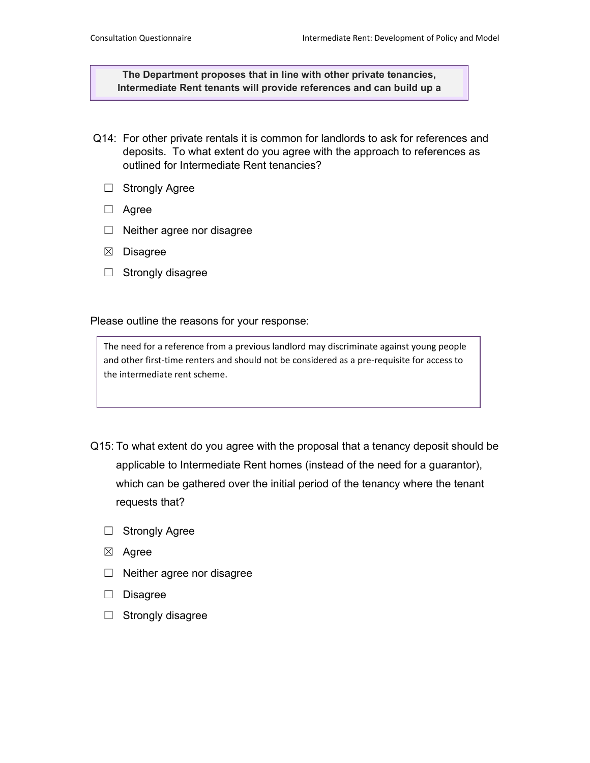**The Department proposes that in line with other private tenancies, Intermediate Rent tenants will provide references and can build up a** 

- Q14: For other private rentals it is common for landlords to ask for references and deposits. To what extent do you agree with the approach to references as outlined for Intermediate Rent tenancies?
	- □ Strongly Agree
	- ☐ Agree
	- ☐ Neither agree nor disagree
	- ☒ Disagree
	- ☐ Strongly disagree

Please outline the reasons for your response:

The need for a reference from a previous landlord may discriminate against young people and other first-time renters and should not be considered as a pre-requisite for access to the intermediate rent scheme.

- Q15: To what extent do you agree with the proposal that a tenancy deposit should be applicable to Intermediate Rent homes (instead of the need for a guarantor), which can be gathered over the initial period of the tenancy where the tenant requests that?
	- ☐ Strongly Agree
	- ☒ Agree
	- $\Box$  Neither agree nor disagree
	- ☐ Disagree
	- ☐ Strongly disagree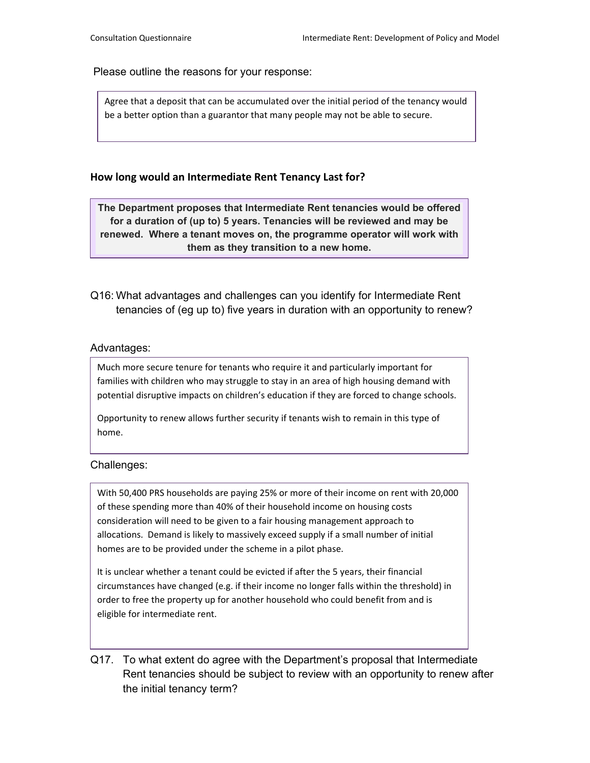Agree that a deposit that can be accumulated over the initial period of the tenancy would be a better option than a guarantor that many people may not be able to secure.

## **How long would an Intermediate Rent Tenancy Last for?**

**The Department proposes that Intermediate Rent tenancies would be offered for a duration of (up to) 5 years. Tenancies will be reviewed and may be renewed. Where a tenant moves on, the programme operator will work with them as they transition to a new home.** 

Q16: What advantages and challenges can you identify for Intermediate Rent tenancies of (eg up to) five years in duration with an opportunity to renew?

### Advantages:

Much more secure tenure for tenants who require it and particularly important for families with children who may struggle to stay in an area of high housing demand with potential disruptive impacts on children's education if they are forced to change schools.

Opportunity to renew allows further security if tenants wish to remain in this type of home.

#### Challenges:

With 50,400 PRS households are paying 25% or more of their income on rent with 20,000 of these spending more than 40% of their household income on housing costs consideration will need to be given to a fair housing management approach to allocations. Demand is likely to massively exceed supply if a small number of initial homes are to be provided under the scheme in a pilot phase.

It is unclear whether a tenant could be evicted if after the 5 years, their financial circumstances have changed (e.g. if their income no longer falls within the threshold) in order to free the property up for another household who could benefit from and is eligible for intermediate rent.

Q17. To what extent do agree with the Department's proposal that Intermediate Rent tenancies should be subject to review with an opportunity to renew after the initial tenancy term?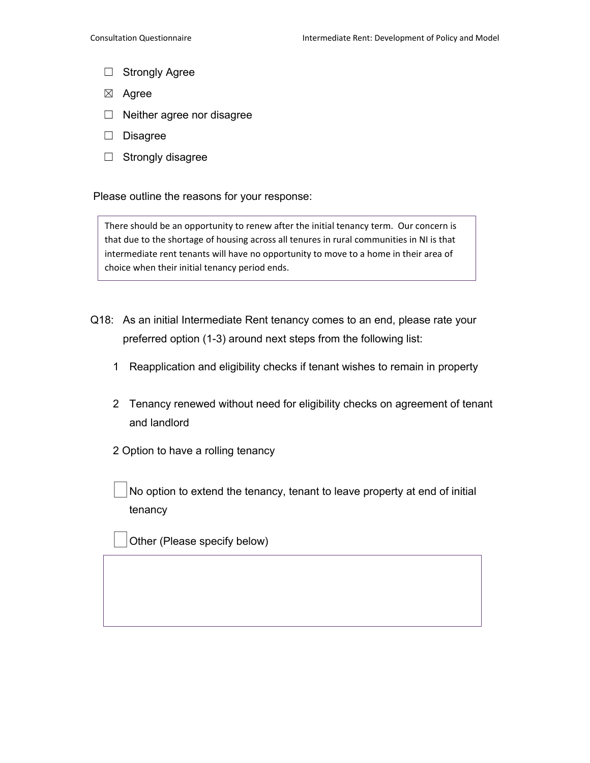- ☐ Strongly Agree
- ☒ Agree
- ☐ Neither agree nor disagree
- ☐ Disagree
- ☐ Strongly disagree

There should be an opportunity to renew after the initial tenancy term. Our concern is that due to the shortage of housing across all tenures in rural communities in NI is that intermediate rent tenants will have no opportunity to move to a home in their area of choice when their initial tenancy period ends.

- Q18: As an initial Intermediate Rent tenancy comes to an end, please rate your preferred option (1-3) around next steps from the following list:
	- 1 Reapplication and eligibility checks if tenant wishes to remain in property
	- 2 Tenancy renewed without need for eligibility checks on agreement of tenant and landlord
	- 2 Option to have a rolling tenancy

No option to extend the tenancy, tenant to leave property at end of initial tenancy

Other (Please specify below)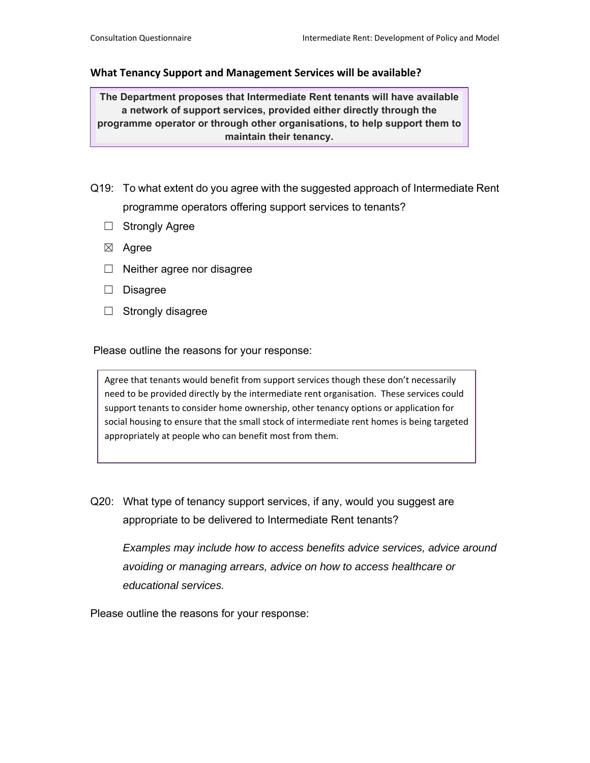#### **What Tenancy Support and Management Services will be available?**

**The Department proposes that Intermediate Rent tenants will have available a network of support services, provided either directly through the programme operator or through other organisations, to help support them to maintain their tenancy.** 

- Q19: To what extent do you agree with the suggested approach of Intermediate Rent programme operators offering support services to tenants?
	- ☐ Strongly Agree
	- ☒ Agree
	- ☐ Neither agree nor disagree
	- ☐ Disagree
	- $\Box$  Strongly disagree

Please outline the reasons for your response:

Agree that tenants would benefit from support services though these don't necessarily need to be provided directly by the intermediate rent organisation. These services could support tenants to consider home ownership, other tenancy options or application for social housing to ensure that the small stock of intermediate rent homes is being targeted appropriately at people who can benefit most from them.

Q20: What type of tenancy support services, if any, would you suggest are appropriate to be delivered to Intermediate Rent tenants?

*Examples may include how to access benefits advice services, advice around avoiding or managing arrears, advice on how to access healthcare or educational services.* 

Please outline the reasons for your response: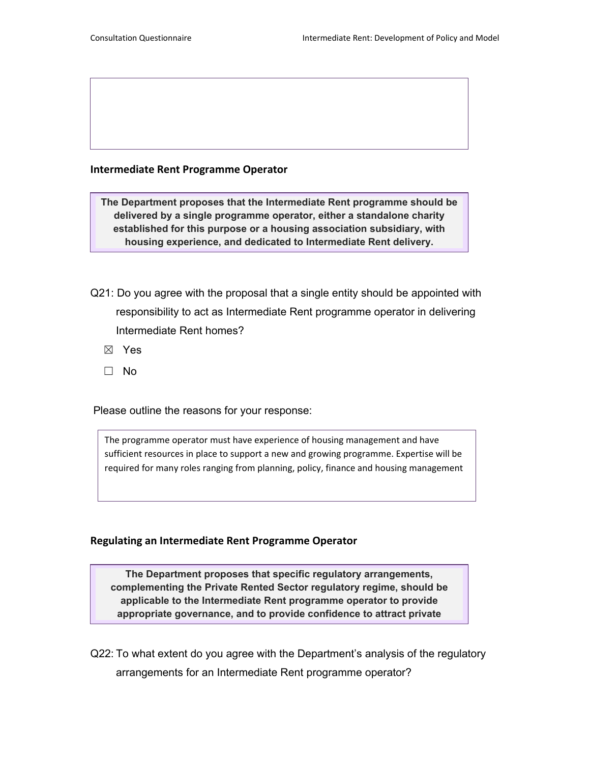## **Intermediate Rent Programme Operator**

**The Department proposes that the Intermediate Rent programme should be delivered by a single programme operator, either a standalone charity established for this purpose or a housing association subsidiary, with housing experience, and dedicated to Intermediate Rent delivery.** 

- Q21: Do you agree with the proposal that a single entity should be appointed with responsibility to act as Intermediate Rent programme operator in delivering Intermediate Rent homes?
	- ☒ Yes
	- ☐ No

Please outline the reasons for your response:

The programme operator must have experience of housing management and have sufficient resources in place to support a new and growing programme. Expertise will be required for many roles ranging from planning, policy, finance and housing management

## **Regulating an Intermediate Rent Programme Operator**

**The Department proposes that specific regulatory arrangements, complementing the Private Rented Sector regulatory regime, should be applicable to the Intermediate Rent programme operator to provide appropriate governance, and to provide confidence to attract private** 

Q22: To what extent do you agree with the Department's analysis of the regulatory arrangements for an Intermediate Rent programme operator?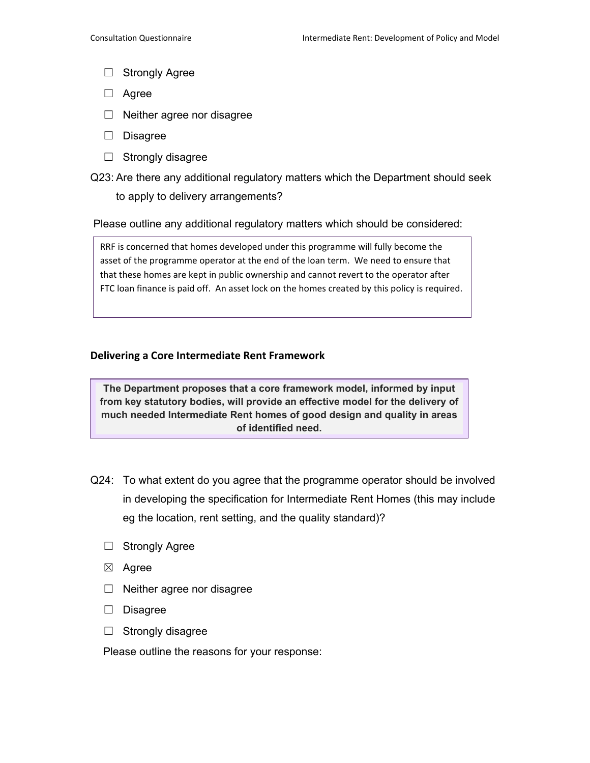- ☐ Strongly Agree
- ☐ Agree
- ☐ Neither agree nor disagree
- ☐ Disagree
- ☐ Strongly disagree
- Q23: Are there any additional regulatory matters which the Department should seek to apply to delivery arrangements?

Please outline any additional regulatory matters which should be considered:

RRF is concerned that homes developed under this programme will fully become the asset of the programme operator at the end of the loan term. We need to ensure that that these homes are kept in public ownership and cannot revert to the operator after FTC loan finance is paid off. An asset lock on the homes created by this policy is required.

### **Delivering a Core Intermediate Rent Framework**

**The Department proposes that a core framework model, informed by input from key statutory bodies, will provide an effective model for the delivery of much needed Intermediate Rent homes of good design and quality in areas of identified need.** 

- Q24: To what extent do you agree that the programme operator should be involved in developing the specification for Intermediate Rent Homes (this may include eg the location, rent setting, and the quality standard)?
	- ☐ Strongly Agree
	- ☒ Agree
	- ☐ Neither agree nor disagree
	- ☐ Disagree
	- ☐ Strongly disagree

Please outline the reasons for your response: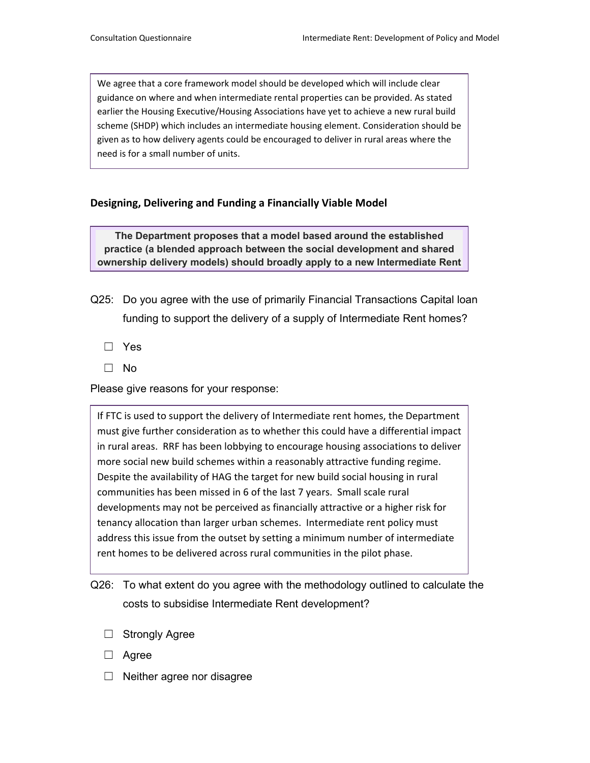We agree that a core framework model should be developed which will include clear guidance on where and when intermediate rental properties can be provided. As stated earlier the Housing Executive/Housing Associations have yet to achieve a new rural build scheme (SHDP) which includes an intermediate housing element. Consideration should be given as to how delivery agents could be encouraged to deliver in rural areas where the need is for a small number of units.

## **Designing, Delivering and Funding a Financially Viable Model**

**The Department proposes that a model based around the established practice (a blended approach between the social development and shared ownership delivery models) should broadly apply to a new Intermediate Rent** 

- Q25: Do you agree with the use of primarily Financial Transactions Capital loan funding to support the delivery of a supply of Intermediate Rent homes?
	- ☐ Yes
	- ☐ No

Please give reasons for your response:

If FTC is used to support the delivery of Intermediate rent homes, the Department must give further consideration as to whether this could have a differential impact in rural areas. RRF has been lobbying to encourage housing associations to deliver more social new build schemes within a reasonably attractive funding regime. Despite the availability of HAG the target for new build social housing in rural communities has been missed in 6 of the last 7 years. Small scale rural developments may not be perceived as financially attractive or a higher risk for tenancy allocation than larger urban schemes. Intermediate rent policy must address this issue from the outset by setting a minimum number of intermediate rent homes to be delivered across rural communities in the pilot phase.

Q26: To what extent do you agree with the methodology outlined to calculate the costs to subsidise Intermediate Rent development?

- ☐ Strongly Agree
- ☐ Agree
- $\Box$  Neither agree nor disagree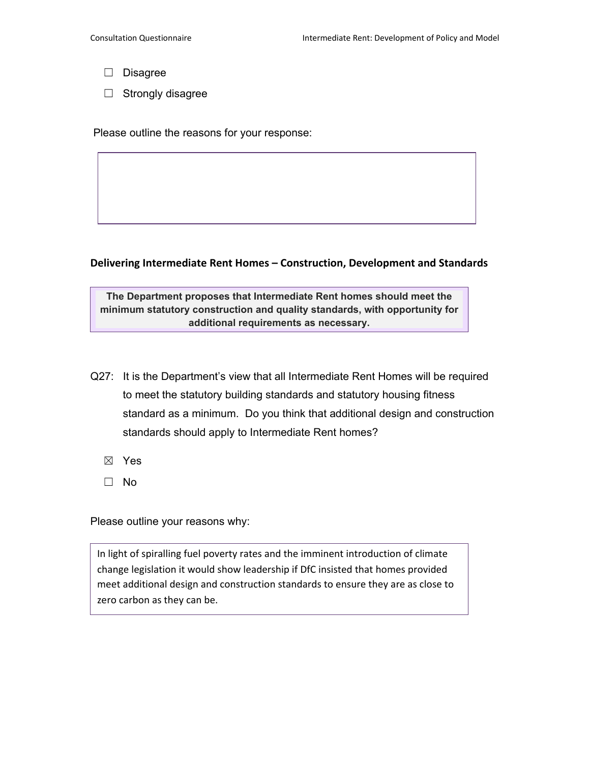- ☐ Disagree
- $\Box$  Strongly disagree

### **Delivering Intermediate Rent Homes – Construction, Development and Standards**

**The Department proposes that Intermediate Rent homes should meet the minimum statutory construction and quality standards, with opportunity for additional requirements as necessary.**

- Q27: It is the Department's view that all Intermediate Rent Homes will be required to meet the statutory building standards and statutory housing fitness standard as a minimum. Do you think that additional design and construction standards should apply to Intermediate Rent homes?
	- ☒ Yes
	- ☐ No

Please outline your reasons why:

In light of spiralling fuel poverty rates and the imminent introduction of climate change legislation it would show leadership if DfC insisted that homes provided meet additional design and construction standards to ensure they are as close to zero carbon as they can be.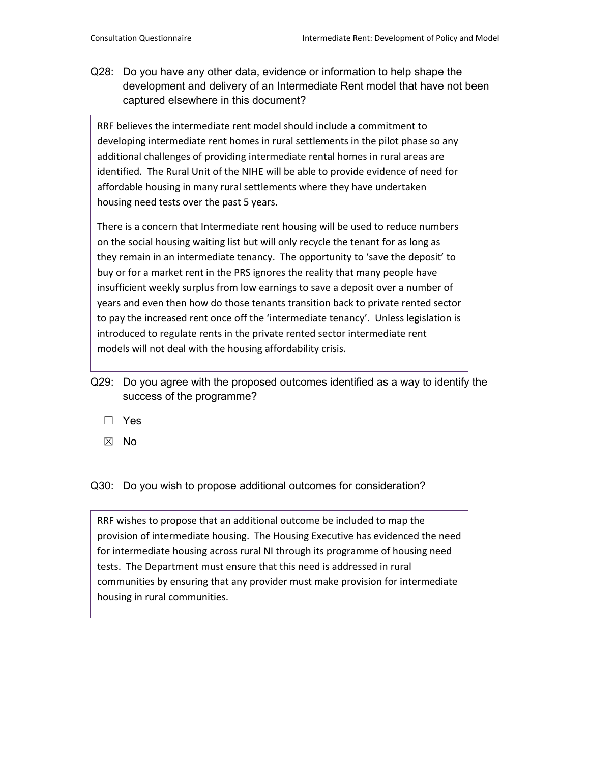Q28: Do you have any other data, evidence or information to help shape the development and delivery of an Intermediate Rent model that have not been captured elsewhere in this document?

RRF believes the intermediate rent model should include a commitment to developing intermediate rent homes in rural settlements in the pilot phase so any additional challenges of providing intermediate rental homes in rural areas are identified. The Rural Unit of the NIHE will be able to provide evidence of need for affordable housing in many rural settlements where they have undertaken housing need tests over the past 5 years.

There is a concern that Intermediate rent housing will be used to reduce numbers on the social housing waiting list but will only recycle the tenant for as long as they remain in an intermediate tenancy. The opportunity to 'save the deposit' to buy or for a market rent in the PRS ignores the reality that many people have insufficient weekly surplus from low earnings to save a deposit over a number of years and even then how do those tenants transition back to private rented sector to pay the increased rent once off the 'intermediate tenancy'. Unless legislation is introduced to regulate rents in the private rented sector intermediate rent models will not deal with the housing affordability crisis.

- Q29: Do you agree with the proposed outcomes identified as a way to identify the success of the programme?
	- ☐ Yes
	- ☒ No

Q30: Do you wish to propose additional outcomes for consideration?

RRF wishes to propose that an additional outcome be included to map the provision of intermediate housing. The Housing Executive has evidenced the need for intermediate housing across rural NI through its programme of housing need tests. The Department must ensure that this need is addressed in rural communities by ensuring that any provider must make provision for intermediate housing in rural communities.